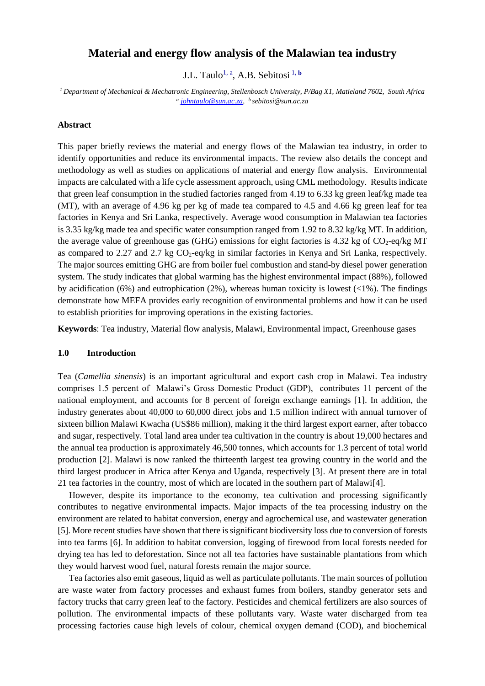# **Material and energy flow analysis of the Malawian tea industry**

J.L. Taulo<sup>1, a</sup>, A.B. Sebitosi<sup>1, b</sup>

*<sup>1</sup>Department of Mechanical & Mechatronic Engineering, Stellenbosch University, P/Bag X1, Matieland 7602, South Africa a [johntaulo@sun.ac.za,](mailto:johntaulo@sun.ac.za) <sup>b</sup>sebitosi@sun.ac.za*

### **Abstract**

This paper briefly reviews the material and energy flows of the Malawian tea industry, in order to identify opportunities and reduce its environmental impacts. The review also details the concept and methodology as well as studies on applications of material and energy flow analysis. Environmental impacts are calculated with a life cycle assessment approach, using CML methodology. Results indicate that green leaf consumption in the studied factories ranged from 4.19 to 6.33 kg green leaf/kg made tea (MT), with an average of 4.96 kg per kg of made tea compared to 4.5 and 4.66 kg green leaf for tea factories in Kenya and Sri Lanka, respectively. Average wood consumption in Malawian tea factories is 3.35 kg/kg made tea and specific water consumption ranged from 1.92 to 8.32 kg/kg MT. In addition, the average value of greenhouse gas (GHG) emissions for eight factories is 4.32 kg of  $CO<sub>2</sub>$ -eq/kg MT as compared to 2.27 and 2.7 kg  $CO<sub>2</sub>$ -eq/kg in similar factories in Kenya and Sri Lanka, respectively. The major sources emitting GHG are from boiler fuel combustion and stand-by diesel power generation system. The study indicates that global warming has the highest environmental impact (88%), followed by acidification (6%) and eutrophication (2%), whereas human toxicity is lowest  $\langle \langle 1 \rangle$ . The findings demonstrate how MEFA provides early recognition of environmental problems and how it can be used to establish priorities for improving operations in the existing factories.

**Keywords**: Tea industry, Material flow analysis, Malawi, Environmental impact, Greenhouse gases

### **1.0 Introduction**

Tea (*Camellia sinensis*) is an important agricultural and export cash crop in Malawi. Tea industry comprises 1.5 percent of Malawi's Gross Domestic Product (GDP), contributes 11 percent of the national employment, and accounts for 8 percent of foreign exchange earnings [1]. In addition, the industry generates about 40,000 to 60,000 direct jobs and 1.5 million indirect with annual turnover of sixteen billion Malawi Kwacha (US\$86 million), making it the third largest export earner, after tobacco and sugar, respectively. Total land area under tea cultivation in the country is about 19,000 hectares and the annual tea production is approximately 46,500 tonnes, which accounts for 1.3 percent of total world production [2]. Malawi is now ranked the thirteenth largest tea growing country in the world and the third largest producer in Africa after Kenya and Uganda, respectively [3]. At present there are in total 21 tea factories in the country, most of which are located in the southern part of Malawi[4].

 However, despite its importance to the economy, tea cultivation and processing significantly contributes to negative environmental impacts. Major impacts of the tea processing industry on the environment are related to habitat conversion, energy and agrochemical use, and wastewater generation [5]. More recent studies have shown that there is significant biodiversity loss due to conversion of forests into tea farms [6]. In addition to habitat conversion, logging of firewood from local forests needed for drying tea has led to deforestation. Since not all tea factories have sustainable plantations from which they would harvest wood fuel, natural forests remain the major source.

 Tea factories also emit gaseous, liquid as well as particulate pollutants. The main sources of pollution are waste water from factory processes and exhaust fumes from boilers, standby generator sets and factory trucks that carry green leaf to the factory. Pesticides and chemical fertilizers are also sources of pollution. The environmental impacts of these pollutants vary. Waste water discharged from tea processing factories cause high levels of colour, chemical oxygen demand (COD), and biochemical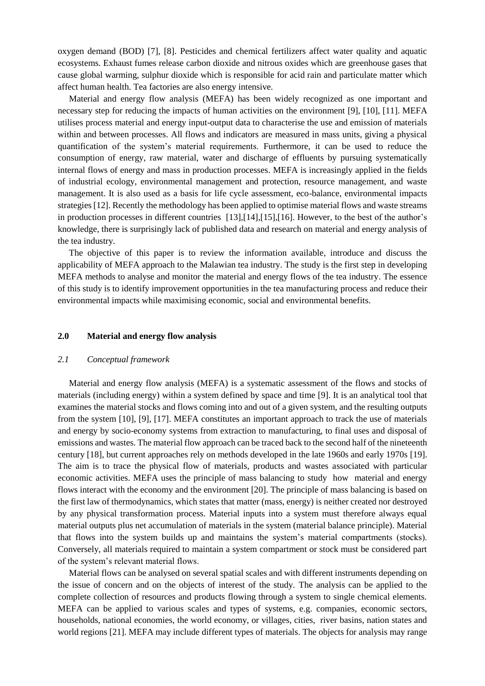oxygen demand (BOD) [7], [8]. Pesticides and chemical fertilizers affect water quality and aquatic ecosystems. Exhaust fumes release carbon dioxide and nitrous oxides which are greenhouse gases that cause global warming, sulphur dioxide which is responsible for acid rain and particulate matter which affect human health. Tea factories are also energy intensive.

 Material and energy flow analysis (MEFA) has been widely recognized as one important and necessary step for reducing the impacts of human activities on the environment [9], [10], [11]. MEFA utilises process material and energy input-output data to characterise the use and emission of materials within and between processes. All flows and indicators are measured in mass units, giving a physical quantification of the system's material requirements. Furthermore, it can be used to reduce the consumption of energy, raw material, water and discharge of effluents by pursuing systematically internal flows of energy and mass in production processes. MEFA is increasingly applied in the fields of industrial ecology, environmental management and protection, resource management, and waste management. It is also used as a basis for life cycle assessment, eco-balance, environmental impacts strategies [12]. Recently the methodology has been applied to optimise material flows and waste streams in production processes in different countries [13],[14],[15],[16]. However, to the best of the author's knowledge, there is surprisingly lack of published data and research on material and energy analysis of the tea industry.

 The objective of this paper is to review the information available, introduce and discuss the applicability of MEFA approach to the Malawian tea industry. The study is the first step in developing MEFA methods to analyse and monitor the material and energy flows of the tea industry. The essence of this study is to identify improvement opportunities in the tea manufacturing process and reduce their environmental impacts while maximising economic, social and environmental benefits.

### **2.0 Material and energy flow analysis**

#### *2.1 Conceptual framework*

 Material and energy flow analysis (MEFA) is a systematic assessment of the flows and stocks of materials (including energy) within a system defined by space and time [9]. It is an analytical tool that examines the material stocks and flows coming into and out of a given system, and the resulting outputs from the system [10], [9], [17]. MEFA constitutes an important approach to track the use of materials and energy by socio-economy systems from extraction to manufacturing, to final uses and disposal of emissions and wastes. The material flow approach can be traced back to the second half of the nineteenth century [18], but current approaches rely on methods developed in the late 1960s and early 1970s [19]. The aim is to trace the physical flow of materials, products and wastes associated with particular economic activities. MEFA uses the principle of mass balancing to study how material and energy flows interact with the economy and the environment [20]. The principle of mass balancing is based on the first law of thermodynamics, which states that matter (mass, energy) is neither created nor destroyed by any physical transformation process. Material inputs into a system must therefore always equal material outputs plus net accumulation of materials in the system (material balance principle). Material that flows into the system builds up and maintains the system's material compartments (stocks). Conversely, all materials required to maintain a system compartment or stock must be considered part of the system's relevant material flows.

 Material flows can be analysed on several spatial scales and with different instruments depending on the issue of concern and on the objects of interest of the study. The analysis can be applied to the complete collection of resources and products flowing through a system to single chemical elements. MEFA can be applied to various scales and types of systems, e.g. companies, economic sectors, households, national economies, the world economy, or villages, cities, river basins, nation states and world regions [21]. MEFA may include different types of materials. The objects for analysis may range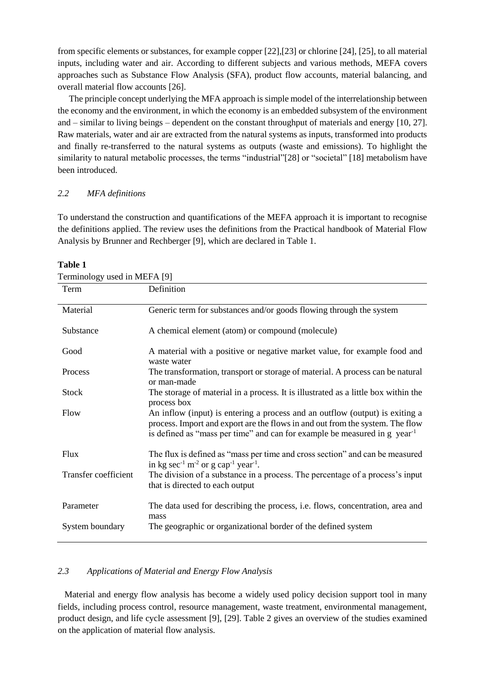from specific elements or substances, for example copper [22],[23] or chlorine [24], [25], to all material inputs, including water and air. According to different subjects and various methods, MEFA covers approaches such as Substance Flow Analysis (SFA), product flow accounts, material balancing, and overall material flow accounts [26].

 The principle concept underlying the MFA approach is simple model of the interrelationship between the economy and the environment, in which the economy is an embedded subsystem of the environment and – similar to living beings – dependent on the constant throughput of materials and energy [10, 27]. Raw materials, water and air are extracted from the natural systems as inputs, transformed into products and finally re-transferred to the natural systems as outputs (waste and emissions). To highlight the similarity to natural metabolic processes, the terms "industrial"[28] or "societal" [18] metabolism have been introduced.

### *2.2 MFA definitions*

To understand the construction and quantifications of the MEFA approach it is important to recognise the definitions applied. The review uses the definitions from the Practical handbook of Material Flow Analysis by Brunner and Rechberger [9], which are declared in Table 1.

| $I$ erminology used in NICFA $ 9 $ |                                                                                                                                                                                                                                                        |
|------------------------------------|--------------------------------------------------------------------------------------------------------------------------------------------------------------------------------------------------------------------------------------------------------|
| Term                               | Definition                                                                                                                                                                                                                                             |
| Material                           | Generic term for substances and/or goods flowing through the system                                                                                                                                                                                    |
| Substance                          | A chemical element (atom) or compound (molecule)                                                                                                                                                                                                       |
| Good                               | A material with a positive or negative market value, for example food and<br>waste water                                                                                                                                                               |
| Process                            | The transformation, transport or storage of material. A process can be natural<br>or man-made                                                                                                                                                          |
| <b>Stock</b>                       | The storage of material in a process. It is illustrated as a little box within the<br>process box                                                                                                                                                      |
| Flow                               | An inflow (input) is entering a process and an outflow (output) is exiting a<br>process. Import and export are the flows in and out from the system. The flow<br>is defined as "mass per time" and can for example be measured in g year <sup>-1</sup> |
| <b>Flux</b>                        | The flux is defined as "mass per time and cross section" and can be measured<br>in kg sec <sup>-1</sup> m <sup>-2</sup> or g cap <sup>-1</sup> year <sup>-1</sup> .                                                                                    |
| Transfer coefficient               | The division of a substance in a process. The percentage of a process's input<br>that is directed to each output                                                                                                                                       |
| Parameter                          | The data used for describing the process, <i>i.e.</i> flows, concentration, area and<br>mass                                                                                                                                                           |
| System boundary                    | The geographic or organizational border of the defined system                                                                                                                                                                                          |

#### **Table 1**

 $\Gamma$   $\sim$  MEFA  $\sim$ 

### *2.3 Applications of Material and Energy Flow Analysis*

 Material and energy flow analysis has become a widely used policy decision support tool in many fields, including process control, resource management, waste treatment, environmental management, product design, and life cycle assessment [9], [29]. Table 2 gives an overview of the studies examined on the application of material flow analysis.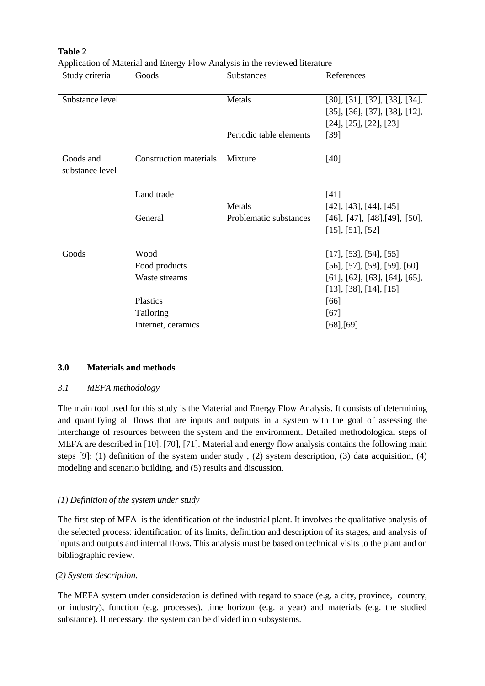| Study criteria               | Goods                         | Substances              | References                                   |
|------------------------------|-------------------------------|-------------------------|----------------------------------------------|
| Substance level              |                               | Metals                  | [30], [31], [32], [33], [34],                |
|                              |                               |                         | $[35]$ , $[36]$ , $[37]$ , $[38]$ , $[12]$ , |
|                              |                               |                         | [24], [25], [22], [23]                       |
|                              |                               | Periodic table elements | $[39]$                                       |
| Goods and<br>substance level | <b>Construction materials</b> | Mixture                 | $[40]$                                       |
|                              | Land trade                    |                         | $[41]$                                       |
|                              |                               | Metals                  | $[42]$ , $[43]$ , $[44]$ , $[45]$            |
|                              | General                       | Problematic substances  | $[46]$ , $[47]$ , $[48]$ , $[49]$ , $[50]$ , |
|                              |                               |                         | $[15]$ , [51], [52]                          |
| Goods                        | Wood                          |                         | [17], [53], [54], [55]                       |
|                              | Food products                 |                         | $[56]$ , [57], [58], [59], [60]              |
|                              | Waste streams                 |                         | $[61]$ , $[62]$ , $[63]$ , $[64]$ , $[65]$ , |
|                              |                               |                         | $[13]$ , [38], [14], [15]                    |
|                              | Plastics                      |                         | [66]                                         |
|                              | Tailoring                     |                         | $[67]$                                       |
|                              | Internet, ceramics            |                         | $[68]$ , $[69]$                              |

**Table 2** Application of Material and Energy Flow Analysis in the reviewed literature

### **3.0 Materials and methods**

### *3.1 MEFA methodology*

The main tool used for this study is the Material and Energy Flow Analysis. It consists of determining and quantifying all flows that are inputs and outputs in a system with the goal of assessing the interchange of resources between the system and the environment. Detailed methodological steps of MEFA are described in [10], [70], [71]. Material and energy flow analysis contains the following main steps [9]: (1) definition of the system under study , (2) system description, (3) data acquisition, (4) modeling and scenario building, and (5) results and discussion.

### *(1) Definition of the system under study*

The first step of MFA is the identification of the industrial plant. It involves the qualitative analysis of the selected process: identification of its limits, definition and description of its stages, and analysis of inputs and outputs and internal flows. This analysis must be based on technical visits to the plant and on bibliographic review.

### *(2) System description.*

The MEFA system under consideration is defined with regard to space (e.g. a city, province, country, or industry), function (e.g. processes), time horizon (e.g. a year) and materials (e.g. the studied substance). If necessary, the system can be divided into subsystems.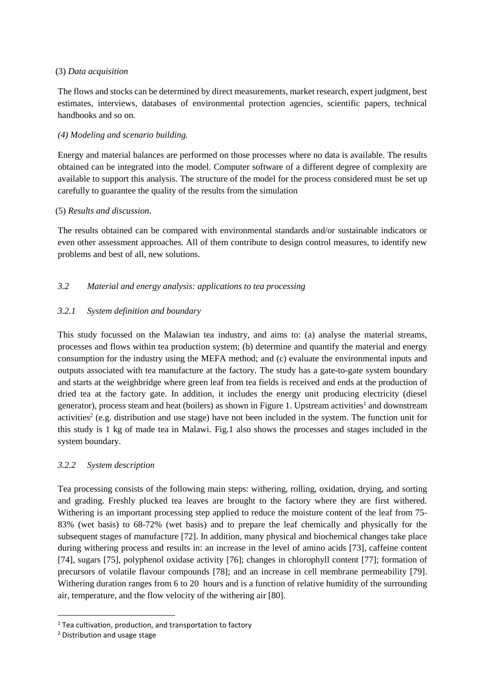## (3) *Data acquisition*

The flows and stocks can be determined by direct measurements, market research, expert judgment, best estimates, interviews, databases of environmental protection agencies, scientific papers, technical handbooks and so on.

# *(4) Modeling and scenario building.*

Energy and material balances are performed on those processes where no data is available. The results obtained can be integrated into the model. Computer software of a different degree of complexity are available to support this analysis. The structure of the model for the process considered must be set up carefully to guarantee the quality of the results from the simulation

## (5) *Results and discussion*.

The results obtained can be compared with environmental standards and/or sustainable indicators or even other assessment approaches. All of them contribute to design control measures, to identify new problems and best of all, new solutions.

# *3.2 Material and energy analysis: applications to tea processing*

# *3.2.1 System definition and boundary*

This study focussed on the Malawian tea industry, and aims to: (a) analyse the material streams, processes and flows within tea production system; (b) determine and quantify the material and energy consumption for the industry using the MEFA method; and (c) evaluate the environmental inputs and outputs associated with tea manufacture at the factory. The study has a gate-to-gate system boundary and starts at the weighbridge where green leaf from tea fields is received and ends at the production of dried tea at the factory gate. In addition, it includes the energy unit producing electricity (diesel generator), process steam and heat (boilers) as shown in Figure 1. Upstream activities<sup>1</sup> and downstream activities<sup>2</sup> (e.g. distribution and use stage) have not been included in the system. The function unit for this study is 1 kg of made tea in Malawi. Fig.1 also shows the processes and stages included in the system boundary.

# *3.2.2 System description*

Tea processing consists of the following main steps: withering, rolling, oxidation, drying, and sorting and grading. Freshly plucked tea leaves are brought to the factory where they are first withered. Withering is an important processing step applied to reduce the moisture content of the leaf from 75-83% (wet basis) to 68-72% (wet basis) and to prepare the leaf chemically and physically for the subsequent stages of manufacture [72]. In addition, many physical and biochemical changes take place during withering process and results in: an increase in the level of amino acids [73], caffeine content [74], sugars [75], polyphenol oxidase activity [76]; changes in chlorophyll content [77]; formation of precursors of volatile flavour compounds [78]; and an increase in cell membrane permeability [79]. Withering duration ranges from 6 to 20 hours and is a function of relative humidity of the surrounding air, temperature, and the flow velocity of the withering air [80].

 $\overline{\phantom{a}}$ 

 $1$  Tea cultivation, production, and transportation to factory

<sup>2</sup> Distribution and usage stage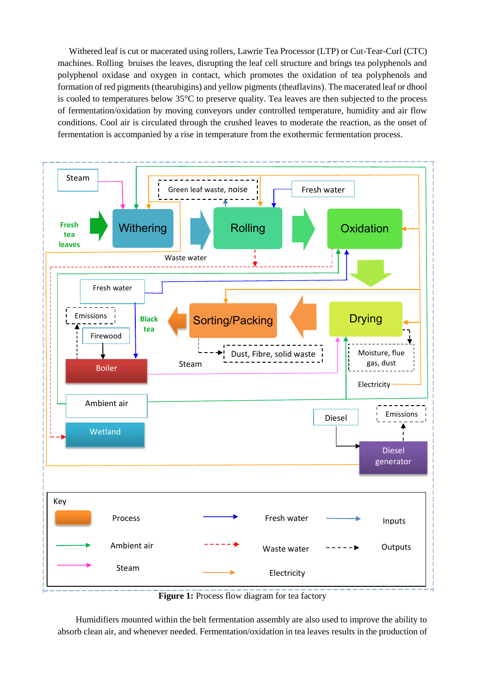Withered leaf is cut or macerated using rollers, Lawrie Tea Processor (LTP) or Cut-Tear-Curl (CTC) machines. Rolling bruises the leaves, disrupting the leaf cell structure and brings tea polyphenols and polyphenol oxidase and oxygen in contact, which promotes the oxidation of tea polyphenols and formation of red pigments (thearubigins) and yellow pigments (theaflavins). The macerated leaf or dhool is cooled to temperatures below 35°C to preserve quality. Tea leaves are then subjected to the process of fermentation/oxidation by moving conveyors under controlled temperature, humidity and air flow conditions. Cool air is circulated through the crushed leaves to moderate the reaction, as the onset of fermentation is accompanied by a rise in temperature from the exothermic fermentation process.



**Figure 1:** Process flow diagram for tea factory

 Humidifiers mounted within the belt fermentation assembly are also used to improve the ability to absorb clean air, and whenever needed. Fermentation/oxidation in tea leaves results in the production of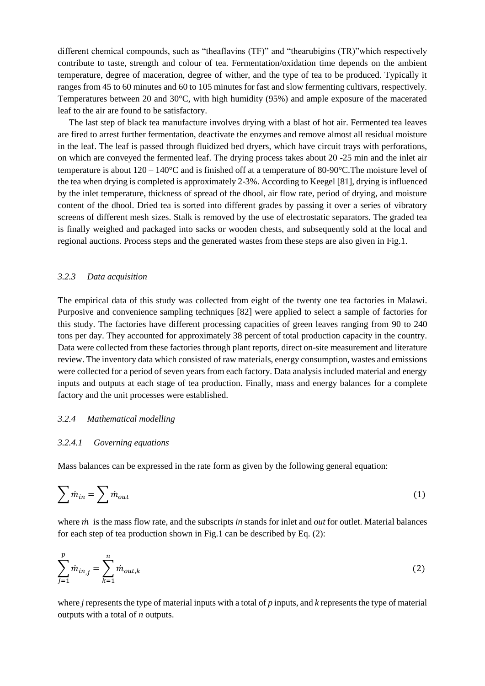different chemical compounds, such as "theaflavins (TF)" and "thearubigins (TR)"which respectively contribute to taste, strength and colour of tea. Fermentation/oxidation time depends on the ambient temperature, degree of maceration, degree of wither, and the type of tea to be produced. Typically it ranges from 45 to 60 minutes and 60 to 105 minutes for fast and slow fermenting cultivars, respectively. Temperatures between 20 and 30°C, with high humidity (95%) and ample exposure of the macerated leaf to the air are found to be satisfactory.

 The last step of black tea manufacture involves drying with a blast of hot air. Fermented tea leaves are fired to arrest further fermentation, deactivate the enzymes and remove almost all residual moisture in the leaf. The leaf is passed through fluidized bed dryers, which have circuit trays with perforations, on which are conveyed the fermented leaf. The drying process takes about 20 -25 min and the inlet air temperature is about 120 – 140°C and is finished off at a temperature of 80-90°C.The moisture level of the tea when drying is completed is approximately 2-3%. According to Keegel [81], drying is influenced by the inlet temperature, thickness of spread of the dhool, air flow rate, period of drying, and moisture content of the dhool. Dried tea is sorted into different grades by passing it over a series of vibratory screens of different mesh sizes. Stalk is removed by the use of electrostatic separators. The graded tea is finally weighed and packaged into sacks or wooden chests, and subsequently sold at the local and regional auctions. Process steps and the generated wastes from these steps are also given in Fig.1.

#### *3.2.3 Data acquisition*

The empirical data of this study was collected from eight of the twenty one tea factories in Malawi. Purposive and convenience sampling techniques [82] were applied to select a sample of factories for this study. The factories have different processing capacities of green leaves ranging from 90 to 240 tons per day. They accounted for approximately 38 percent of total production capacity in the country. Data were collected from these factories through plant reports, direct on-site measurement and literature review. The inventory data which consisted of raw materials, energy consumption, wastes and emissions were collected for a period of seven years from each factory. Data analysis included material and energy inputs and outputs at each stage of tea production. Finally, mass and energy balances for a complete factory and the unit processes were established.

#### *3.2.4 Mathematical modelling*

### *3.2.4.1 Governing equations*

Mass balances can be expressed in the rate form as given by the following general equation:

$$
\sum \dot{m}_{in} = \sum \dot{m}_{out} \tag{1}
$$

where *in* is the mass flow rate, and the subscripts *in* stands for inlet and *out* for outlet. Material balances for each step of tea production shown in Fig.1 can be described by Eq. (2):

$$
\sum_{j=1}^{p} \dot{m}_{in,j} = \sum_{k=1}^{n} \dot{m}_{out,k}
$$
 (2)

where *j* represents the type of material inputs with a total of *p* inputs, and *k* represents the type of material outputs with a total of *n* outputs.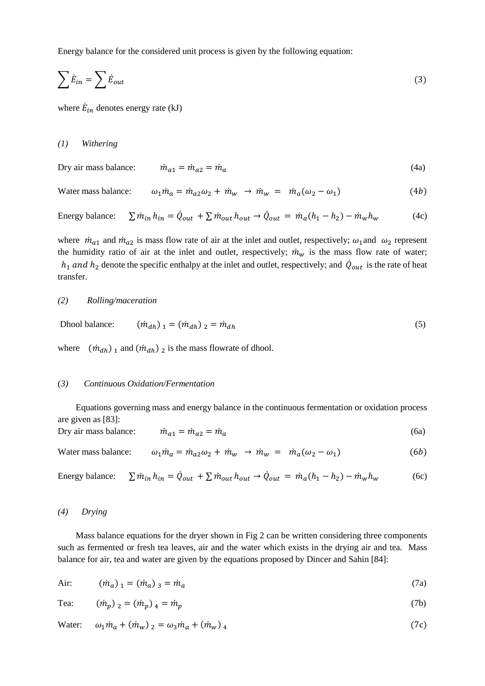Energy balance for the considered unit process is given by the following equation:

$$
\sum \dot{E}_{in} = \sum \dot{E}_{out} \tag{3}
$$

where  $\dot{E}_{in}$  denotes energy rate (kJ)

### *(1) Withering*

Dry air mass balance: ̇ 1 = ̇ 2 = ̇ (4a)

# Water mass balance:  $\omega_1 \dot{m}_a = \dot{m}_{a2} \omega_2 + \dot{m}_w \rightarrow \dot{m}_w = \dot{m}_a (\omega_2 - \omega_1)$  (4b)

Energy balance:  $\sin h_{in} = \dot{Q}_{out} + \sum \dot{m}_{out} h_{out} \rightarrow \dot{Q}_{out} = \dot{m}_a (h_1 - h_2) - \dot{m}_w h_w$  (4c)

where  $\dot{m}_{a1}$  and  $\dot{m}_{a2}$  is mass flow rate of air at the inlet and outlet, respectively;  $\omega_1$  and  $\omega_2$  represent the humidity ratio of air at the inlet and outlet, respectively;  $\dot{m}_w$  is the mass flow rate of water;  $h_1$  and  $h_2$  denote the specific enthalpy at the inlet and outlet, respectively; and  $\dot{Q}_{out}$  is the rate of heat transfer.

### *(2) Rolling/maceration*

Dhool balance:  $(\dot{m}_{dh})_1 = (\dot{m}_{dh})_2 = \dot{m}_{dh}$  (5)

where  $(\dot{m}_{dh})_1$  and  $(\dot{m}_{dh})_2$  is the mass flowrate of dhool.

#### (*3) Continuous Oxidation/Fermentation*

 Equations governing mass and energy balance in the continuous fermentation or oxidation process are given as [83]:

Dry air mass balance:  $\dot{m}_{a1} = \dot{m}_{a2} = \dot{m}_a$  (6a)

Water mass balance:  $\omega_1 \dot{m}_a = \dot{m}_{a2} \omega_2 + \dot{m}_w \rightarrow \dot{m}_w = \dot{m}_a (\omega_2 - \omega_1)$  (6b)

Energy balance: 
$$
\sum \dot{m}_{in} h_{in} = \dot{Q}_{out} + \sum \dot{m}_{out} h_{out} \rightarrow \dot{Q}_{out} = \dot{m}_a (h_1 - h_2) - \dot{m}_w h_w
$$
 (6c)

### *(4) Drying*

 Mass balance equations for the dryer shown in Fig 2 can be written considering three components such as fermented or fresh tea leaves, air and the water which exists in the drying air and tea. Mass balance for air, tea and water are given by the equations proposed by Dincer and Sahin [84]:

Air: 
$$
(\dot{m}_a)_1 = (\dot{m}_a)_3 = \dot{m}_a
$$
 (7a)

Tea: 
$$
(\dot{m}_p)_2 = (\dot{m}_p)_4 = \dot{m}_p
$$
 (7b)

Water: 
$$
\omega_1 \dot{m}_a + (\dot{m}_w)_2 = \omega_3 \dot{m}_a + (\dot{m}_w)_4
$$
 (7c)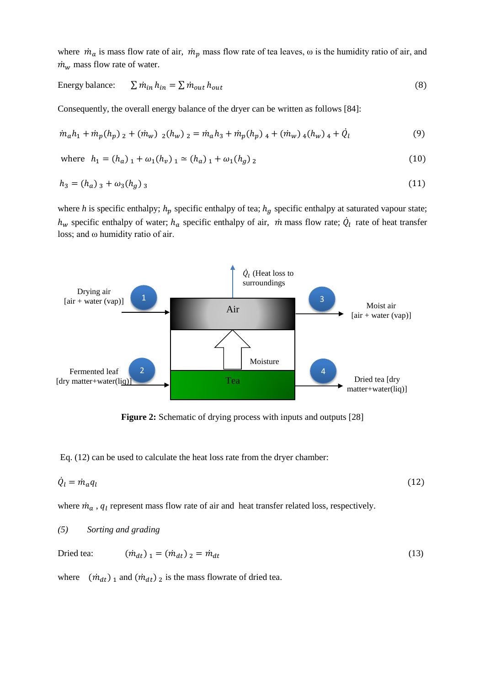where  $\dot{m}_a$  is mass flow rate of air,  $\dot{m}_p$  mass flow rate of tea leaves,  $\omega$  is the humidity ratio of air, and  $\dot{m}_w$  mass flow rate of water.

Energy balance: 
$$
\sum \dot{m}_{in} h_{in} = \sum \dot{m}_{out} h_{out}
$$
 (8)

Consequently, the overall energy balance of the dryer can be written as follows [84]:

$$
\dot{m}_a h_1 + \dot{m}_p (h_p)_2 + (\dot{m}_w)_2 (h_w)_2 = \dot{m}_a h_3 + \dot{m}_p (h_p)_4 + (\dot{m}_w)_4 (h_w)_4 + \dot{Q}_l
$$
\n(9)

where 
$$
h_1 = (h_a)_1 + \omega_1(h_v)_1 \simeq (h_a)_1 + \omega_1(h_g)_2
$$
 (10)

$$
h_3 = (h_a)_3 + \omega_3 (h_g)_3 \tag{11}
$$

where *h* is specific enthalpy;  $h_p$  specific enthalpy of tea;  $h_q$  specific enthalpy at saturated vapour state;  $h_w$  specific enthalpy of water;  $h_a$  specific enthalpy of air,  $\dot{m}$  mass flow rate;  $\dot{Q}_l$  rate of heat transfer loss; and ω humidity ratio of air.



**Figure 2:** Schematic of drying process with inputs and outputs [28]

Eq. (12) can be used to calculate the heat loss rate from the dryer chamber:

$$
\dot{Q}_l = \dot{m}_a q_l \tag{12}
$$

where  $\dot{m}_a$ ,  $q_l$  represent mass flow rate of air and heat transfer related loss, respectively.

### *(5) Sorting and grading*

| Dried tea: | $(\dot{m}_{dt})_1 = (\dot{m}_{dt})_2 = \dot{m}_{dt}$ | (13) |
|------------|------------------------------------------------------|------|
|------------|------------------------------------------------------|------|

where  $(\dot{m}_{dt})_1$  and  $(\dot{m}_{dt})_2$  is the mass flowrate of dried tea.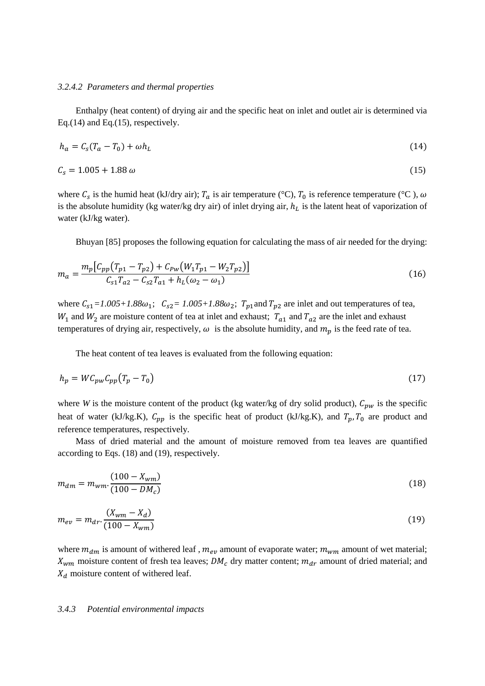### *3.2.4.2 Parameters and thermal properties*

 Enthalpy (heat content) of drying air and the specific heat on inlet and outlet air is determined via Eq.(14) and Eq.(15), respectively.

$$
h_a = C_s (T_a - T_0) + \omega h_L \tag{14}
$$

$$
C_s = 1.005 + 1.88 \,\omega \tag{15}
$$

where  $C_s$  is the humid heat (kJ/dry air);  $T_a$  is air temperature (°C),  $T_0$  is reference temperature (°C),  $\omega$ is the absolute humidity (kg water/kg dry air) of inlet drying air,  $h_L$  is the latent heat of vaporization of water (kJ/kg water).

Bhuyan [85] proposes the following equation for calculating the mass of air needed for the drying:

$$
m_a = \frac{m_p \left[ C_{pp} \left( T_{p1} - T_{p2} \right) + C_{pw} \left( W_1 T_{p1} - W_2 T_{p2} \right) \right]}{C_{s1} T_{a2} - C_{s2} T_{a1} + h_L (\omega_2 - \omega_1)}
$$
(16)

where  $C_{s1} = 1.005 + 1.88\omega_1$ ;  $C_{s2} = 1.005 + 1.88\omega_2$ ;  $T_{p1}$  and  $T_{p2}$  are inlet and out temperatures of tea,  $W_1$  and  $W_2$  are moisture content of tea at inlet and exhaust;  $T_{a1}$  and  $T_{a2}$  are the inlet and exhaust temperatures of drying air, respectively,  $\omega$  is the absolute humidity, and  $m_p$  is the feed rate of tea.

The heat content of tea leaves is evaluated from the following equation:

$$
h_p = W C_{pw} C_{pp} (T_p - T_0) \tag{17}
$$

where *W* is the moisture content of the product (kg water/kg of dry solid product),  $C_{pw}$  is the specific heat of water (kJ/kg.K),  $C_{pp}$  is the specific heat of product (kJ/kg.K), and  $T_p$ ,  $T_0$  are product and reference temperatures, respectively.

 Mass of dried material and the amount of moisture removed from tea leaves are quantified according to Eqs. (18) and (19), respectively.

$$
m_{dm} = m_{wm} \cdot \frac{(100 - X_{wm})}{(100 - DM_c)}
$$
\n(18)

$$
m_{ev} = m_{dr} \cdot \frac{(X_{wm} - X_d)}{(100 - X_{wm})}
$$
(19)

where  $m_{dm}$  is amount of withered leaf,  $m_{ev}$  amount of evaporate water;  $m_{wm}$  amount of wet material;  $X_{wm}$  moisture content of fresh tea leaves;  $DM_c$  dry matter content;  $m_{dr}$  amount of dried material; and  $X_d$  moisture content of withered leaf.

#### *3.4.3 Potential environmental impacts*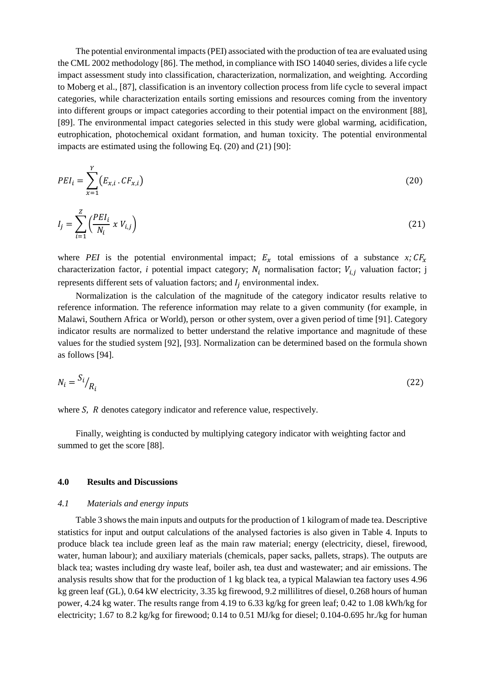The potential environmental impacts (PEI) associated with the production of tea are evaluated using the CML 2002 methodology [86]. The method, in compliance with ISO 14040 series, divides a life cycle impact assessment study into classification, characterization, normalization, and weighting. According to Moberg et al., [87], classification is an inventory collection process from life cycle to several impact categories, while characterization entails sorting emissions and resources coming from the inventory into different groups or impact categories according to their potential impact on the environment [88], [89]. The environmental impact categories selected in this study were global warming, acidification, eutrophication, photochemical oxidant formation, and human toxicity. The potential environmental impacts are estimated using the following Eq. (20) and (21) [90]:

$$
PEI_i = \sum_{x=1}^{r} (E_{x,i} \cdot CF_{x,i})
$$
 (20)

$$
I_j = \sum_{i=1}^{Z} \left( \frac{PEI_i}{N_i} \times V_{i,j} \right) \tag{21}
$$

where *PEI* is the potential environmental impact;  $E_x$  total emissions of a substance *x*;  $CF_x$ characterization factor, *i* potential impact category;  $N_i$  normalisation factor;  $V_{i,j}$  valuation factor; j represents different sets of valuation factors; and  $I_i$  environmental index.

 Normalization is the calculation of the magnitude of the category indicator results relative to reference information. The reference information may relate to a given community (for example, in Malawi, Southern Africa or World), person or other system, over a given period of time [91]. Category indicator results are normalized to better understand the relative importance and magnitude of these values for the studied system [92], [93]. Normalization can be determined based on the formula shown as follows [94].

$$
N_i = \frac{S_i}{R_i} \tag{22}
$$

where  $S$ ,  $R$  denotes category indicator and reference value, respectively.

 Finally, weighting is conducted by multiplying category indicator with weighting factor and summed to get the score [88].

### **4.0 Results and Discussions**

 $\overline{1}$ 

### *4.1 Materials and energy inputs*

 Table 3 shows the main inputs and outputs for the production of 1 kilogram of made tea. Descriptive statistics for input and output calculations of the analysed factories is also given in Table 4. Inputs to produce black tea include green leaf as the main raw material; energy (electricity, diesel, firewood, water, human labour); and auxiliary materials (chemicals, paper sacks, pallets, straps). The outputs are black tea; wastes including dry waste leaf, boiler ash, tea dust and wastewater; and air emissions. The analysis results show that for the production of 1 kg black tea, a typical Malawian tea factory uses 4.96 kg green leaf (GL), 0.64 kW electricity, 3.35 kg firewood, 9.2 millilitres of diesel, 0.268 hours of human power, 4.24 kg water. The results range from 4.19 to 6.33 kg/kg for green leaf; 0.42 to 1.08 kWh/kg for electricity; 1.67 to 8.2 kg/kg for firewood; 0.14 to 0.51 MJ/kg for diesel; 0.104-0.695 hr./kg for human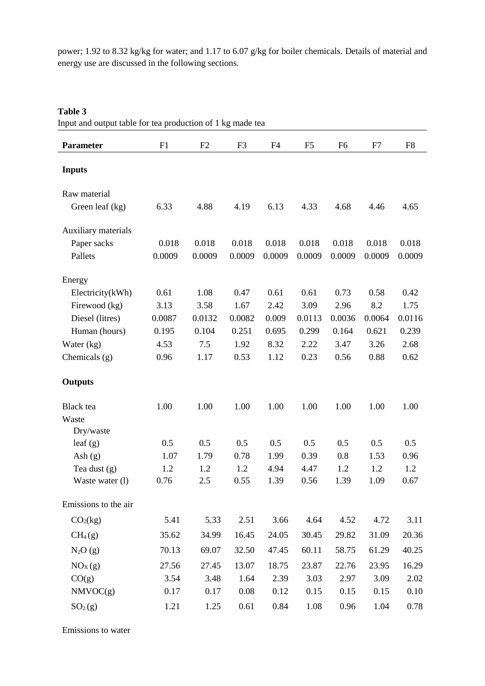power; 1.92 to 8.32 kg/kg for water; and 1.17 to 6.07 g/kg for boiler chemicals. Details of material and energy use are discussed in the following sections.

## **Table 3**

Input and output table for tea production of 1 kg made tea

| <b>Parameter</b>     | F1     | F2        | F <sub>3</sub> | F <sub>4</sub> | F <sub>5</sub> | F <sub>6</sub> | F7     | F <sub>8</sub> |
|----------------------|--------|-----------|----------------|----------------|----------------|----------------|--------|----------------|
| <b>Inputs</b>        |        |           |                |                |                |                |        |                |
| Raw material         |        |           |                |                |                |                |        |                |
| Green leaf (kg)      | 6.33   | 4.88      | 4.19           | 6.13           | 4.33           | 4.68           | 4.46   | 4.65           |
| Auxiliary materials  |        |           |                |                |                |                |        |                |
| Paper sacks          | 0.018  | 0.018     | 0.018          | 0.018          | 0.018          | 0.018          | 0.018  | 0.018          |
| Pallets              | 0.0009 | 0.0009    | 0.0009         | 0.0009         | 0.0009         | 0.0009         | 0.0009 | 0.0009         |
| Energy               |        |           |                |                |                |                |        |                |
| Electricity(kWh)     | 0.61   | 1.08      | 0.47           | 0.61           | 0.61           | 0.73           | 0.58   | 0.42           |
| Firewood (kg)        | 3.13   | 3.58      | 1.67           | 2.42           | 3.09           | 2.96           | 8.2    | 1.75           |
| Diesel (litres)      | 0.0087 | 0.0132    | 0.0082         | 0.009          | 0.0113         | 0.0036         | 0.0064 | 0.0116         |
| Human (hours)        | 0.195  | $0.104\,$ | 0.251          | 0.695          | 0.299          | 0.164          | 0.621  | 0.239          |
| Water $(kg)$         | 4.53   | 7.5       | 1.92           | 8.32           | 2.22           | 3.47           | 3.26   | 2.68           |
| Chemicals (g)        | 0.96   | 1.17      | 0.53           | 1.12           | 0.23           | 0.56           | 0.88   | 0.62           |
| <b>Outputs</b>       |        |           |                |                |                |                |        |                |
| Black tea            | 1.00   | 1.00      | 1.00           | 1.00           | 1.00           | 1.00           | 1.00   | 1.00           |
| Waste                |        |           |                |                |                |                |        |                |
| Dry/waste            |        |           |                |                |                |                |        |                |
| leaf $(g)$           | 0.5    | 0.5       | 0.5            | 0.5            | 0.5            | 0.5            | 0.5    | 0.5            |
| Ash $(g)$            | 1.07   | 1.79      | 0.78           | 1.99           | 0.39           | 0.8            | 1.53   | 0.96           |
| Tea dust $(g)$       | 1.2    | 1.2       | 1.2            | 4.94           | 4.47           | 1.2            | 1.2    | 1.2            |
| Waste water (1)      | 0.76   | 2.5       | 0.55           | 1.39           | 0.56           | 1.39           | 1.09   | 0.67           |
| Emissions to the air |        |           |                |                |                |                |        |                |
| CO <sub>2</sub> (kg) | 5.41   | 5.33      | 2.51           | 3.66           | 4.64           | 4.52           | 4.72   | 3.11           |
| CH <sub>4</sub> (g)  | 35.62  | 34.99     | 16.45          | 24.05          | 30.45          | 29.82          | 31.09  | 20.36          |
| $N_2O(g)$            | 70.13  | 69.07     | 32.50          | 47.45          | 60.11          | 58.75          | 61.29  | 40.25          |
| NO <sub>X</sub> (g)  | 27.56  | 27.45     | 13.07          | 18.75          | 23.87          | 22.76          | 23.95  | 16.29          |
| CO(g)                | 3.54   | 3.48      | 1.64           | 2.39           | 3.03           | 2.97           | 3.09   | 2.02           |
| NMVOC(g)             | 0.17   | 0.17      | 0.08           | 0.12           | 0.15           | 0.15           | 0.15   | 0.10           |
| SO <sub>2</sub> (g)  | 1.21   | 1.25      | 0.61           | 0.84           | 1.08           | 0.96           | 1.04   | 0.78           |

Emissions to water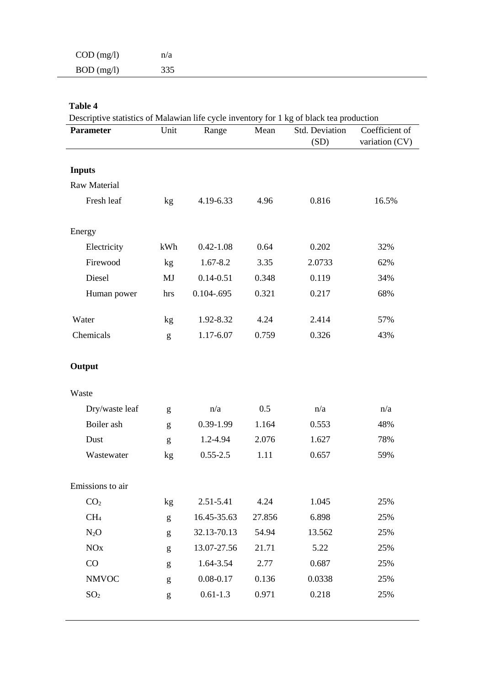| $COD$ (mg/l) | n/a |
|--------------|-----|
| $BOD$ (mg/l) | 335 |

# **Table 4**

Descriptive statistics of Malawian life cycle inventory for 1 kg of black tea production

| <b>Parameter</b>    | Unit         | Range         | Mean   | Std. Deviation | Coefficient of |
|---------------------|--------------|---------------|--------|----------------|----------------|
|                     |              |               |        | (SD)           | variation (CV) |
|                     |              |               |        |                |                |
| <b>Inputs</b>       |              |               |        |                |                |
| <b>Raw Material</b> |              |               |        |                |                |
| Fresh leaf          | kg           | 4.19-6.33     | 4.96   | 0.816          | 16.5%          |
| Energy              |              |               |        |                |                |
| Electricity         | kWh          | $0.42 - 1.08$ | 0.64   | 0.202          | 32%            |
| Firewood            | kg           | 1.67-8.2      | 3.35   | 2.0733         | 62%            |
| Diesel              | MJ           | $0.14 - 0.51$ | 0.348  | 0.119          | 34%            |
| Human power         | hrs          | $0.104 - 695$ | 0.321  | 0.217          | 68%            |
|                     |              |               |        |                |                |
| Water               | kg           | 1.92-8.32     | 4.24   | 2.414          | 57%            |
| Chemicals           | g            | 1.17-6.07     | 0.759  | 0.326          | 43%            |
|                     |              |               |        |                |                |
| Output              |              |               |        |                |                |
| Waste               |              |               |        |                |                |
| Dry/waste leaf      | g            | n/a           | 0.5    | n/a            | n/a            |
| Boiler ash          | g            | 0.39-1.99     | 1.164  | 0.553          | 48%            |
| Dust                | g            | 1.2-4.94      | 2.076  | 1.627          | 78%            |
| Wastewater          | kg           | $0.55 - 2.5$  | 1.11   | 0.657          | 59%            |
|                     |              |               |        |                |                |
| Emissions to air    |              |               |        |                |                |
| CO <sub>2</sub>     | kg           | 2.51-5.41     | 4.24   | 1.045          | 25%            |
| CH <sub>4</sub>     | $\mathbf{g}$ | 16.45-35.63   | 27.856 | 6.898          | 25%            |
| $N_2O$              | $\mathbf{g}$ | 32.13-70.13   | 54.94  | 13.562         | 25%            |
| <b>NO</b> x         | g            | 13.07-27.56   | 21.71  | 5.22           | 25%            |
| CO                  | g            | 1.64-3.54     | 2.77   | 0.687          | 25%            |
| <b>NMVOC</b>        | g            | $0.08 - 0.17$ | 0.136  | 0.0338         | 25%            |
| SO <sub>2</sub>     | g            | $0.61 - 1.3$  | 0.971  | 0.218          | 25%            |
|                     |              |               |        |                |                |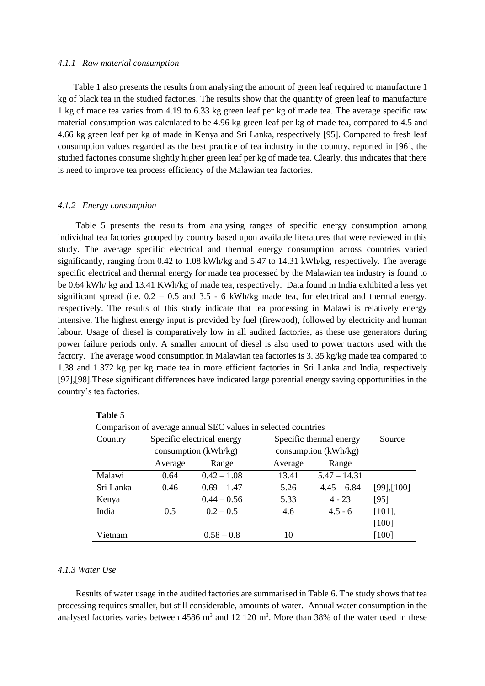#### *4.1.1 Raw material consumption*

 Table 1 also presents the results from analysing the amount of green leaf required to manufacture 1 kg of black tea in the studied factories. The results show that the quantity of green leaf to manufacture 1 kg of made tea varies from 4.19 to 6.33 kg green leaf per kg of made tea. The average specific raw material consumption was calculated to be 4.96 kg green leaf per kg of made tea, compared to 4.5 and 4.66 kg green leaf per kg of made in Kenya and Sri Lanka, respectively [95]. Compared to fresh leaf consumption values regarded as the best practice of tea industry in the country, reported in [96], the studied factories consume slightly higher green leaf per kg of made tea. Clearly, this indicates that there is need to improve tea process efficiency of the Malawian tea factories.

#### *4.1.2 Energy consumption*

 Table 5 presents the results from analysing ranges of specific energy consumption among individual tea factories grouped by country based upon available literatures that were reviewed in this study. The average specific electrical and thermal energy consumption across countries varied significantly, ranging from 0.42 to 1.08 kWh/kg and 5.47 to 14.31 kWh/kg, respectively. The average specific electrical and thermal energy for made tea processed by the Malawian tea industry is found to be 0.64 kWh/ kg and 13.41 KWh/kg of made tea, respectively. Data found in India exhibited a less yet significant spread (i.e.  $0.2 - 0.5$  and  $3.5 - 6$  kWh/kg made tea, for electrical and thermal energy, respectively. The results of this study indicate that tea processing in Malawi is relatively energy intensive. The highest energy input is provided by fuel (firewood), followed by electricity and human labour. Usage of diesel is comparatively low in all audited factories, as these use generators during power failure periods only. A smaller amount of diesel is also used to power tractors used with the factory. The average wood consumption in Malawian tea factories is 3. 35 kg/kg made tea compared to 1.38 and 1.372 kg per kg made tea in more efficient factories in Sri Lanka and India, respectively [97],[98].These significant differences have indicated large potential energy saving opportunities in the country's tea factories.

| Comparison of average annual SEC values in selected countries |         |                            |         |                         |                  |  |  |  |
|---------------------------------------------------------------|---------|----------------------------|---------|-------------------------|------------------|--|--|--|
| Country                                                       |         | Specific electrical energy |         | Specific thermal energy |                  |  |  |  |
|                                                               |         | consumption $(kWh/kg)$     |         | consumption $(kWh/kg)$  |                  |  |  |  |
|                                                               | Average | Range                      | Average | Range                   |                  |  |  |  |
| Malawi                                                        | 0.64    | $0.42 - 1.08$              | 13.41   | $5.47 - 14.31$          |                  |  |  |  |
| Sri Lanka                                                     | 0.46    | $0.69 - 1.47$              | 5.26    | $4.45 - 6.84$           | $[99]$ , $[100]$ |  |  |  |
| Kenya                                                         |         | $0.44 - 0.56$              | 5.33    | $4 - 23$                | [95]             |  |  |  |
| India                                                         | 0.5     | $0.2 - 0.5$                | 4.6     | $4.5 - 6$               | $[101]$ ,        |  |  |  |
|                                                               |         |                            |         |                         | $[100]$          |  |  |  |
| Vietnam                                                       |         | $0.58 - 0.8$               | 10      |                         | $[100]$          |  |  |  |

 **Table 5**

## *4.1.3 Water Use*

 Results of water usage in the audited factories are summarised in Table 6. The study shows that tea processing requires smaller, but still considerable, amounts of water. Annual water consumption in the analysed factories varies between  $4586 \text{ m}^3$  and  $12 \text{ } 120 \text{ m}^3$ . More than 38% of the water used in these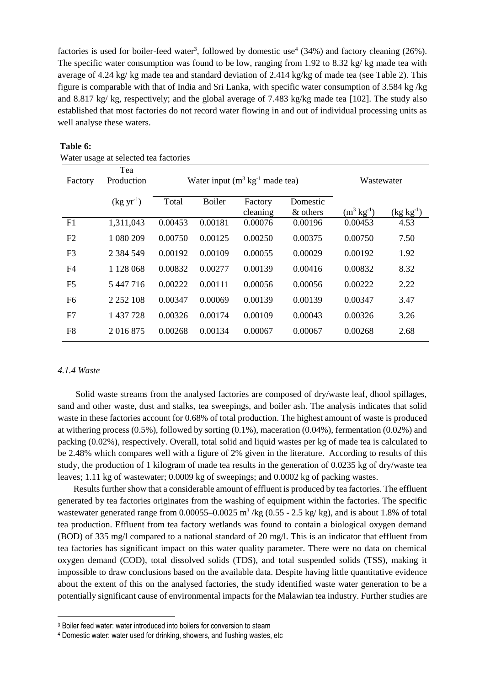factories is used for boiler-feed water<sup>3</sup>, followed by domestic use<sup>4</sup> (34%) and factory cleaning (26%). The specific water consumption was found to be low, ranging from 1.92 to 8.32 kg/ kg made tea with average of 4.24 kg/ kg made tea and standard deviation of 2.414 kg/kg of made tea (see Table 2). This figure is comparable with that of India and Sri Lanka, with specific water consumption of 3.584 kg /kg and 8.817 kg/ kg, respectively; and the global average of 7.483 kg/kg made tea [102]. The study also established that most factories do not record water flowing in and out of individual processing units as well analyse these waters.

| Factory        | Tea<br>Production |         | Water input $(m^3 \text{ kg}^{-1} \text{ made tea})$ | Wastewater          |                      |                         |                |
|----------------|-------------------|---------|------------------------------------------------------|---------------------|----------------------|-------------------------|----------------|
|                | $(kgyr^{-1})$     | Total   | <b>Boiler</b>                                        | Factory<br>cleaning | Domestic<br>& others | $(m^3 \text{ kg}^{-1})$ | $(kg kg^{-1})$ |
| F1             | 1,311,043         | 0.00453 | 0.00181                                              | 0.00076             | 0.00196              | 0.00453                 | 4.53           |
| F2             | 1 080 209         | 0.00750 | 0.00125                                              | 0.00250             | 0.00375              | 0.00750                 | 7.50           |
| F <sub>3</sub> | 2 3 8 4 5 4 9     | 0.00192 | 0.00109                                              | 0.00055             | 0.00029              | 0.00192                 | 1.92           |
| F <sub>4</sub> | 1 128 068         | 0.00832 | 0.00277                                              | 0.00139             | 0.00416              | 0.00832                 | 8.32           |
| F <sub>5</sub> | 5 447 716         | 0.00222 | 0.00111                                              | 0.00056             | 0.00056              | 0.00222                 | 2.22           |
| F <sub>6</sub> | 2 2 5 2 1 0 8     | 0.00347 | 0.00069                                              | 0.00139             | 0.00139              | 0.00347                 | 3.47           |
| F7             | 1 437 728         | 0.00326 | 0.00174                                              | 0.00109             | 0.00043              | 0.00326                 | 3.26           |
| F <sub>8</sub> | 2016875           | 0.00268 | 0.00134                                              | 0.00067             | 0.00067              | 0.00268                 | 2.68           |

### **Table 6:**

Water usage at selected tea factories

#### *4.1.4 Waste*

 $\overline{\phantom{a}}$ 

 Solid waste streams from the analysed factories are composed of dry/waste leaf, dhool spillages, sand and other waste, dust and stalks, tea sweepings, and boiler ash. The analysis indicates that solid waste in these factories account for 0.68% of total production. The highest amount of waste is produced at withering process  $(0.5\%)$ , followed by sorting  $(0.1\%)$ , maceration  $(0.04\%)$ , fermentation  $(0.02\%)$  and packing (0.02%), respectively. Overall, total solid and liquid wastes per kg of made tea is calculated to be 2.48% which compares well with a figure of 2% given in the literature. According to results of this study, the production of 1 kilogram of made tea results in the generation of 0.0235 kg of dry/waste tea leaves; 1.11 kg of wastewater; 0.0009 kg of sweepings; and 0.0002 kg of packing wastes.

 Results further show that a considerable amount of effluent is produced by tea factories. The effluent generated by tea factories originates from the washing of equipment within the factories. The specific wastewater generated range from  $0.00055 - 0.0025$  m<sup>3</sup>/kg (0.55 - 2.5 kg/kg), and is about 1.8% of total tea production. Effluent from tea factory wetlands was found to contain a biological oxygen demand (BOD) of 335 mg/l compared to a national standard of 20 mg/l. This is an indicator that effluent from tea factories has significant impact on this water quality parameter. There were no data on chemical oxygen demand (COD), total dissolved solids (TDS), and total suspended solids (TSS), making it impossible to draw conclusions based on the available data. Despite having little quantitative evidence about the extent of this on the analysed factories, the study identified waste water generation to be a potentially significant cause of environmental impacts for the Malawian tea industry. Further studies are

<sup>&</sup>lt;sup>3</sup> Boiler feed water: water introduced into boilers for conversion to steam

<sup>4</sup> Domestic water: water used for drinking, showers, and flushing wastes, etc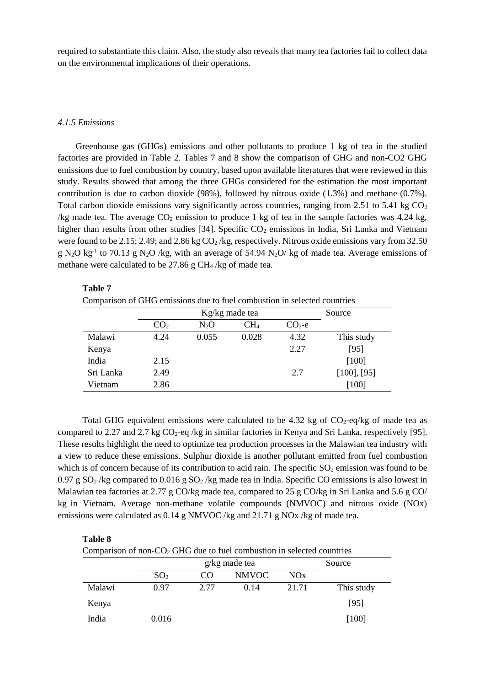required to substantiate this claim. Also, the study also reveals that many tea factories fail to collect data on the environmental implications of their operations.

#### *4.1.5 Emissions*

 Greenhouse gas (GHGs) emissions and other pollutants to produce 1 kg of tea in the studied factories are provided in Table 2. Tables 7 and 8 show the comparison of GHG and non-CO2 GHG emissions due to fuel combustion by country, based upon available literatures that were reviewed in this study. Results showed that among the three GHGs considered for the estimation the most important contribution is due to carbon dioxide (98%), followed by nitrous oxide (1.3%) and methane (0.7%). Total carbon dioxide emissions vary significantly across countries, ranging from 2.51 to 5.41 kg  $CO<sub>2</sub>$ /kg made tea. The average  $CO_2$  emission to produce 1 kg of tea in the sample factories was 4.24 kg, higher than results from other studies [34]. Specific  $CO<sub>2</sub>$  emissions in India, Sri Lanka and Vietnam were found to be 2.15; 2.49; and 2.86 kg  $CO<sub>2</sub>/kg$ , respectively. Nitrous oxide emissions vary from 32.50  $g$  N<sub>2</sub>O kg<sup>-1</sup> to 70.13 g N<sub>2</sub>O /kg, with an average of 54.94 N<sub>2</sub>O/ kg of made tea. Average emissions of methane were calculated to be 27.86 g CH<sup>4</sup> /kg of made tea.

#### **Table 7**

Comparison of GHG emissions due to fuel combustion in selected countries

|           |                 | Source |              |         |                  |
|-----------|-----------------|--------|--------------|---------|------------------|
|           | CO <sub>2</sub> | $N_2O$ | $\rm CH_{4}$ | $CO2-e$ |                  |
| Malawi    | 4.24            | 0.055  | 0.028        | 4.32    | This study       |
| Kenya     |                 |        |              | 2.27    | [95]             |
| India     | 2.15            |        |              |         | $[100]$          |
| Sri Lanka | 2.49            |        |              | 2.7     | $[100]$ , $[95]$ |
| Vietnam   | 2.86            |        |              |         | $[100]$          |

Total GHG equivalent emissions were calculated to be  $4.32 \text{ kg}$  of  $\text{CO}_2$ -eq/kg of made tea as compared to 2.27 and 2.7 kg  $CO<sub>2</sub>$ -eq /kg in similar factories in Kenya and Sri Lanka, respectively [95]. These results highlight the need to optimize tea production processes in the Malawian tea industry with a view to reduce these emissions. Sulphur dioxide is another pollutant emitted from fuel combustion which is of concern because of its contribution to acid rain. The specific  $SO_2$  emission was found to be 0.97 g SO<sub>2</sub> /kg compared to 0.016 g SO<sub>2</sub> /kg made tea in India. Specific CO emissions is also lowest in Malawian tea factories at 2.77 g CO/kg made tea, compared to 25 g CO/kg in Sri Lanka and 5.6 g CO/ kg in Vietnam. Average non-methane volatile compounds (NMVOC) and nitrous oxide (NOx) emissions were calculated as 0.14 g NMVOC /kg and 21.71 g NOx /kg of made tea.

#### **Table 8**

Comparison of non- $CO<sub>2</sub>$  GHG due to fuel combustion in selected countries

|        |                 | Source |              |       |            |
|--------|-----------------|--------|--------------|-------|------------|
|        | SO <sub>2</sub> | CO     | <b>NMVOC</b> | NOx   |            |
| Malawi | 0.97            | 2.77   | 0.14         | 21.71 | This study |
| Kenya  |                 |        |              |       | [95]       |
| India  | 0.016           |        |              |       | $[100]$    |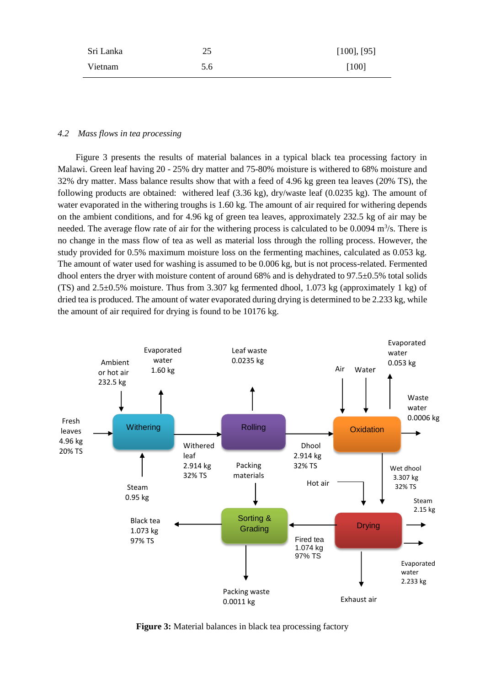| Sri Lanka | 25  | $[100]$ , $[95]$ |
|-----------|-----|------------------|
| Vietnam   | 5.6 | [100]            |

#### *4.2 Mass flows in tea processing*

 Figure 3 presents the results of material balances in a typical black tea processing factory in Malawi. Green leaf having 20 - 25% dry matter and 75-80% moisture is withered to 68% moisture and 32% dry matter. Mass balance results show that with a feed of 4.96 kg green tea leaves (20% TS), the following products are obtained: withered leaf (3.36 kg), dry/waste leaf (0.0235 kg). The amount of water evaporated in the withering troughs is 1.60 kg. The amount of air required for withering depends on the ambient conditions, and for 4.96 kg of green tea leaves, approximately 232.5 kg of air may be needed. The average flow rate of air for the withering process is calculated to be  $0.0094 \text{ m}^3/\text{s}$ . There is no change in the mass flow of tea as well as material loss through the rolling process. However, the study provided for 0.5% maximum moisture loss on the fermenting machines, calculated as 0.053 kg. The amount of water used for washing is assumed to be 0.006 kg, but is not process-related. Fermented dhool enters the dryer with moisture content of around 68% and is dehydrated to 97.5±0.5% total solids (TS) and 2.5±0.5% moisture. Thus from 3.307 kg fermented dhool, 1.073 kg (approximately 1 kg) of dried tea is produced. The amount of water evaporated during drying is determined to be 2.233 kg, while the amount of air required for drying is found to be 10176 kg.



**Figure 3:** Material balances in black tea processing factory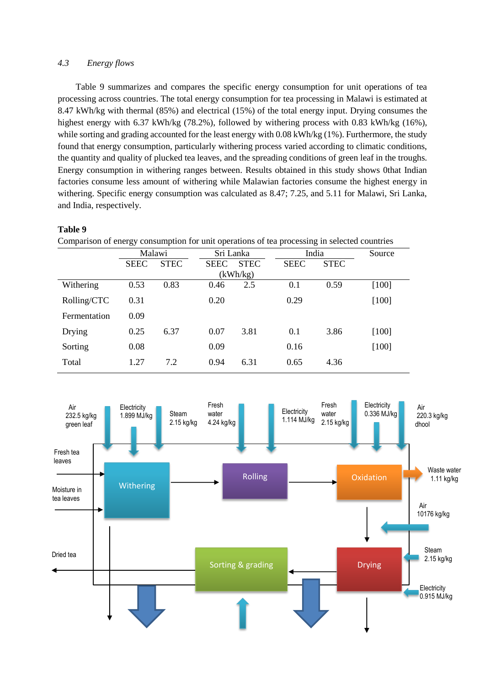### *4.3 Energy flows*

 Table 9 summarizes and compares the specific energy consumption for unit operations of tea processing across countries. The total energy consumption for tea processing in Malawi is estimated at 8.47 kWh/kg with thermal (85%) and electrical (15%) of the total energy input. Drying consumes the highest energy with 6.37 kWh/kg (78.2%), followed by withering process with 0.83 kWh/kg (16%), while sorting and grading accounted for the least energy with 0.08 kWh/kg (1%). Furthermore, the study found that energy consumption, particularly withering process varied according to climatic conditions, the quantity and quality of plucked tea leaves, and the spreading conditions of green leaf in the troughs. Energy consumption in withering ranges between. Results obtained in this study shows 0that Indian factories consume less amount of withering while Malawian factories consume the highest energy in withering. Specific energy consumption was calculated as 8.47; 7.25, and 5.11 for Malawi, Sri Lanka, and India, respectively.

### **Table 9**

Comparison of energy consumption for unit operations of tea processing in selected countries

|              | Malawi      |             |             | Sri Lanka   |             | India       |         |
|--------------|-------------|-------------|-------------|-------------|-------------|-------------|---------|
|              | <b>SEEC</b> | <b>STEC</b> | <b>SEEC</b> | <b>STEC</b> | <b>SEEC</b> | <b>STEC</b> |         |
|              |             |             |             | (kWh/kg)    |             |             |         |
| Withering    | 0.53        | 0.83        | 0.46        | 2.5         | 0.1         | 0.59        | $[100]$ |
| Rolling/CTC  | 0.31        |             | 0.20        |             | 0.29        |             | $[100]$ |
| Fermentation | 0.09        |             |             |             |             |             |         |
| Drying       | 0.25        | 6.37        | 0.07        | 3.81        | 0.1         | 3.86        | $[100]$ |
| Sorting      | 0.08        |             | 0.09        |             | 0.16        |             | $[100]$ |
| Total        | 1.27        | 7.2         | 0.94        | 6.31        | 0.65        | 4.36        |         |

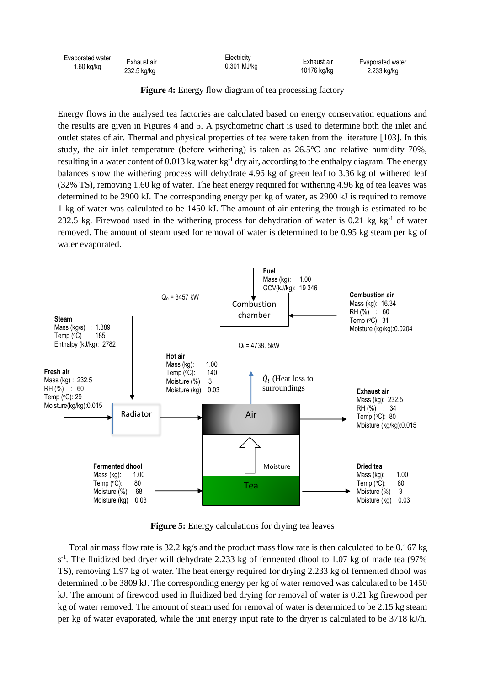|                            |                            | Evaporated water |
|----------------------------|----------------------------|------------------|
|                            | 10176 kg/kg                | 2.233 kg/kg      |
| Exhaust air<br>232.5 kg/kg | Electricity<br>0.301 MJ/kg | Exhaust air      |

**Figure 4:** Energy flow diagram of tea processing factory

Energy flows in the analysed tea factories are calculated based on energy conservation equations and the results are given in Figures 4 and 5. A psychometric chart is used to determine both the inlet and the results are given in Figures 4 and 5. A psychometric chart is used to determine both the inlet and outlet states of air. Thermal and physical properties of tea were taken from the literature [103]. In this outlet states of air. Thermal and physical properties of tea were taken from the literature [103]. In this study, the air inlet temperature (before withering) is taken as 26.5°C and relative humidity 70%, resulting in a water content of 0.013 kg water  $kg^{-1}$  dry air, according to the enthalpy diagram. The energy balances show the withering process will dehydrate 4.96 kg of green leaf to 3.36 kg of withered leaf (32% TS), removing 1.60 kg of water. The heat energy required for withering 4.96 kg of tea leaves was determined to be 2900 kJ. The corresponding energy per kg of water, as 2900 kJ is required to remove 1 kg of water was calculated to be 1450 kJ. The amount of air entering the trough is estimated to be 232.5 kg. Firewood used in the withering process for dehydration of water is 0.21 kg kg $^{-1}$  of water removed. The amount of steam used for removal of water is determined to be 0.95 kg steam per kg of water evaporated.



**Figure 5:** Energy calculations for drying tea leaves

 Total air mass flow rate is 32.2 kg/s and the product mass flow rate is then calculated to be 0.167 kg  $s<sup>-1</sup>$ . The fluidized bed dryer will dehydrate 2.233 kg of fermented dhool to 1.07 kg of made tea (97%) TS), removing 1.97 kg of water. The heat energy required for drying 2.233 kg of fermented dhool was determined to be 3809 kJ. The corresponding energy per kg of water removed was calculated to be 1450 kJ. The amount of firewood used in fluidized bed drying for removal of water is 0.21 kg firewood per kg of water removed. The amount of steam used for removal of water is determined to be 2.15 kg steam per kg of water evaporated, while the unit energy input rate to the dryer is calculated to be 3718 kJ/h.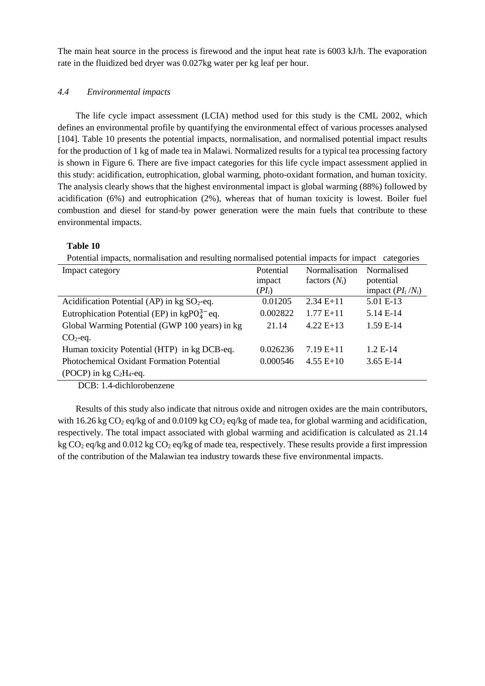The main heat source in the process is firewood and the input heat rate is 6003 kJ/h. The evaporation rate in the fluidized bed dryer was 0.027kg water per kg leaf per hour.

### *4.4 Environmental impacts*

 The life cycle impact assessment (LCIA) method used for this study is the CML 2002, which defines an environmental profile by quantifying the environmental effect of various processes analysed [104]. Table 10 presents the potential impacts, normalisation, and normalised potential impact results for the production of 1 kg of made tea in Malawi. Normalized results for a typical tea processing factory is shown in Figure 6. There are five impact categories for this life cycle impact assessment applied in this study: acidification, eutrophication, global warming, photo-oxidant formation, and human toxicity. The analysis clearly shows that the highest environmental impact is global warming (88%) followed by acidification (6%) and eutrophication (2%), whereas that of human toxicity is lowest. Boiler fuel combustion and diesel for stand-by power generation were the main fuels that contribute to these environmental impacts.

## **Table 10**

Potential impacts, normalisation and resulting normalised potential impacts for impact categories

| Impact category                                           | Potential | Normalisation   | Normalised          |
|-----------------------------------------------------------|-----------|-----------------|---------------------|
|                                                           | impact    | factors $(N_i)$ | potential           |
|                                                           | $(PI_i)$  |                 | impact $(PI_i/N_i)$ |
| Acidification Potential (AP) in $kg SO2$ -eq.             | 0.01205   | $2.34 E+11$     | 5.01 E-13           |
| Eutrophication Potential (EP) in $\text{kgPO}_4^{3-}$ eq. | 0.002822  | $1.77E+11$      | 5.14 E-14           |
| Global Warming Potential (GWP 100 years) in kg            | 21.14     | $4.22 E+13$     | 1.59 E-14           |
| $CO2$ -eq.                                                |           |                 |                     |
| Human toxicity Potential (HTP) in kg DCB-eq.              | 0.026236  | $7.19E+11$      | $1.2 E-14$          |
| Photochemical Oxidant Formation Potential                 | 0.000546  | $4.55 E+10$     | $3.65 E-14$         |
| (POCP) in $kg C2H4$ -eq.                                  |           |                 |                     |
| $PCD = 1 + 1$ 1 1 1                                       |           |                 |                     |

DCB: 1.4-dichlorobenzene

 Results of this study also indicate that nitrous oxide and nitrogen oxides are the main contributors, with 16.26 kg CO<sub>2</sub> eq/kg of and 0.0109 kg CO<sub>2</sub> eq/kg of made tea, for global warming and acidification, respectively. The total impact associated with global warming and acidification is calculated as 21.14 kg CO<sub>2</sub> eq/kg and 0.012 kg CO<sub>2</sub> eq/kg of made tea, respectively. These results provide a first impression of the contribution of the Malawian tea industry towards these five environmental impacts.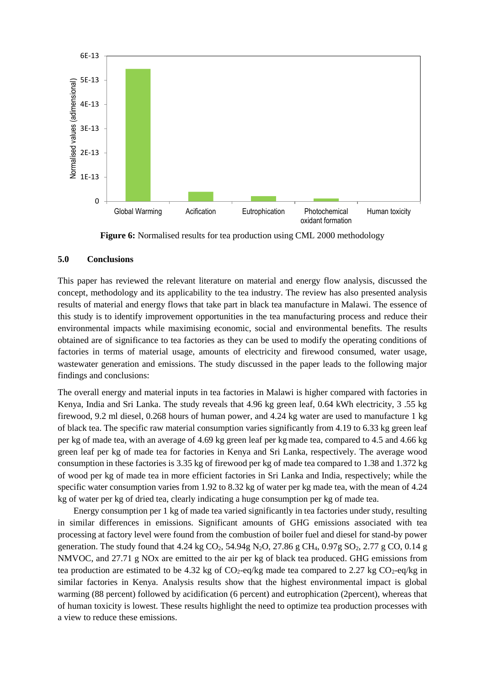

**Figure 6:** Normalised results for tea production using CML 2000 methodology

### **5.0 Conclusions**

This paper has reviewed the relevant literature on material and energy flow analysis, discussed the concept, methodology and its applicability to the tea industry. The review has also presented analysis results of material and energy flows that take part in black tea manufacture in Malawi. The essence of this study is to identify improvement opportunities in the tea manufacturing process and reduce their environmental impacts while maximising economic, social and environmental benefits. The results obtained are of significance to tea factories as they can be used to modify the operating conditions of factories in terms of material usage, amounts of electricity and firewood consumed, water usage, wastewater generation and emissions. The study discussed in the paper leads to the following major findings and conclusions:

The overall energy and material inputs in tea factories in Malawi is higher compared with factories in Kenya, India and Sri Lanka. The study reveals that 4.96 kg green leaf, 0.64 kWh electricity, 3 .55 kg firewood, 9.2 ml diesel, 0.268 hours of human power, and 4.24 kg water are used to manufacture 1 kg of black tea. The specific raw material consumption varies significantly from 4.19 to 6.33 kg green leaf per kg of made tea, with an average of 4.69 kg green leaf per kgmade tea, compared to 4.5 and 4.66 kg green leaf per kg of made tea for factories in Kenya and Sri Lanka, respectively. The average wood consumption in these factories is 3.35 kg of firewood per kg of made tea compared to 1.38 and 1.372 kg of wood per kg of made tea in more efficient factories in Sri Lanka and India, respectively; while the specific water consumption varies from 1.92 to 8.32 kg of water per kg made tea, with the mean of 4.24 kg of water per kg of dried tea, clearly indicating a huge consumption per kg of made tea.

 Energy consumption per 1 kg of made tea varied significantly in tea factories under study, resulting in similar differences in emissions. Significant amounts of GHG emissions associated with tea processing at factory level were found from the combustion of boiler fuel and diesel for stand-by power generation. The study found that 4.24 kg  $CO_2$ , 54.94g N<sub>2</sub>O, 27.86 g CH<sub>4</sub>, 0.97g SO<sub>2</sub>, 2.77 g CO, 0.14 g NMVOC, and 27.71 g NOx are emitted to the air per kg of black tea produced. GHG emissions from tea production are estimated to be 4.32 kg of  $CO_2$ -eq/kg made tea compared to 2.27 kg  $CO_2$ -eq/kg in similar factories in Kenya. Analysis results show that the highest environmental impact is global warming (88 percent) followed by acidification (6 percent) and eutrophication (2percent), whereas that of human toxicity is lowest. These results highlight the need to optimize tea production processes with a view to reduce these emissions.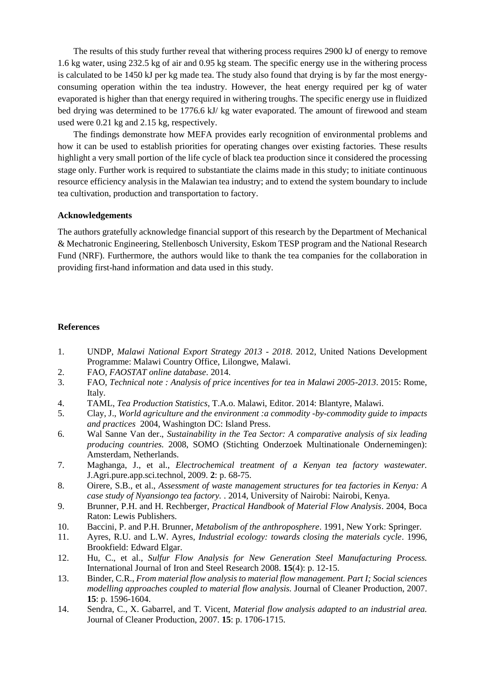The results of this study further reveal that withering process requires 2900 kJ of energy to remove 1.6 kg water, using 232.5 kg of air and 0.95 kg steam. The specific energy use in the withering process is calculated to be 1450 kJ per kg made tea. The study also found that drying is by far the most energyconsuming operation within the tea industry. However, the heat energy required per kg of water evaporated is higher than that energy required in withering troughs. The specific energy use in fluidized bed drying was determined to be 1776.6 kJ/ kg water evaporated. The amount of firewood and steam used were 0.21 kg and 2.15 kg, respectively.

 The findings demonstrate how MEFA provides early recognition of environmental problems and how it can be used to establish priorities for operating changes over existing factories. These results highlight a very small portion of the life cycle of black tea production since it considered the processing stage only. Further work is required to substantiate the claims made in this study; to initiate continuous resource efficiency analysis in the Malawian tea industry; and to extend the system boundary to include tea cultivation, production and transportation to factory.

### **Acknowledgements**

The authors gratefully acknowledge financial support of this research by the Department of Mechanical & Mechatronic Engineering, Stellenbosch University, Eskom TESP program and the National Research Fund (NRF). Furthermore, the authors would like to thank the tea companies for the collaboration in providing first-hand information and data used in this study.

### **References**

- 1. UNDP, *Malawi National Export Strategy 2013 - 2018*. 2012, United Nations Development Programme: Malawi Country Office, Lilongwe, Malawi.
- 2. FAO, *FAOSTAT online database*. 2014.
- 3. FAO, *Technical note : Analysis of price incentives for tea in Malawi 2005-2013*. 2015: Rome, Italy.
- 4. TAML, *Tea Production Statistics*, T.A.o. Malawi, Editor. 2014: Blantyre, Malawi.
- 5. Clay, J., *World agriculture and the environment :a commodity -by-commodity guide to impacts and practices* 2004, Washington DC: Island Press.
- 6. Wal Sanne Van der., *Sustainability in the Tea Sector: A comparative analysis of six leading producing countries.* 2008, SOMO (Stichting Onderzoek Multinationale Ondernemingen): Amsterdam, Netherlands.
- 7. Maghanga, J., et al., *Electrochemical treatment of a Kenyan tea factory wastewater.* J.Agri.pure.app.sci.technol, 2009. **2**: p. 68-75.
- 8. Oirere, S.B., et al., *Assessment of waste management structures for tea factories in Kenya: A case study of Nyansiongo tea factory.* . 2014, University of Nairobi: Nairobi, Kenya.
- 9. Brunner, P.H. and H. Rechberger, *Practical Handbook of Material Flow Analysis*. 2004, Boca Raton: Lewis Publishers.
- 10. Baccini, P. and P.H. Brunner, *Metabolism of the anthroposphere*. 1991, New York: Springer.
- 11. Ayres, R.U. and L.W. Ayres, *Industrial ecology: towards closing the materials cycle*. 1996, Brookfield: Edward Elgar.
- 12. Hu, C., et al., *Sulfur Flow Analysis for New Generation Steel Manufacturing Process.* International Journal of Iron and Steel Research 2008. **15**(4): p. 12-15.
- 13. Binder, C.R., *From material flow analysis to material flow management. Part I; Social sciences modelling approaches coupled to material flow analysis.* Journal of Cleaner Production, 2007. **15**: p. 1596-1604.
- 14. Sendra, C., X. Gabarrel, and T. Vicent, *Material flow analysis adapted to an industrial area.* Journal of Cleaner Production, 2007. **15**: p. 1706-1715.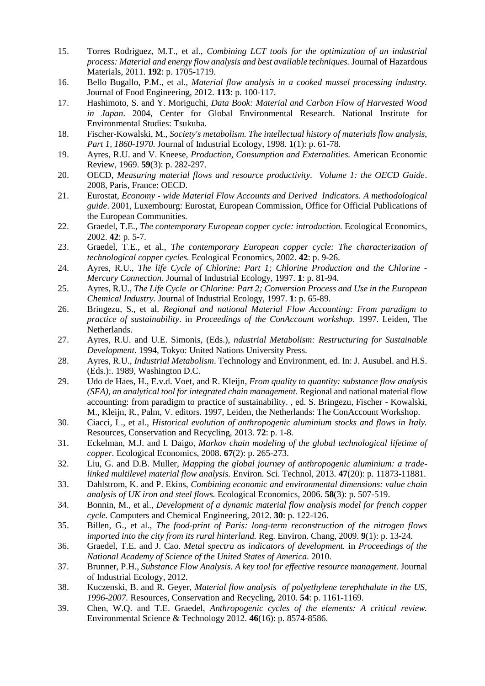- 15. Torres Rodriguez, M.T., et al., *Combining LCT tools for the optimization of an industrial process: Material and energy flow analysis and best available techniques.* Journal of Hazardous Materials, 2011. **192**: p. 1705-1719.
- 16. Bello Bugallo, P.M., et al., *Material flow analysis in a cooked mussel processing industry.* Journal of Food Engineering, 2012. **113**: p. 100-117.
- 17. Hashimoto, S. and Y. Moriguchi, *Data Book: Material and Carbon Flow of Harvested Wood in Japan*. 2004, Center for Global Environmental Research. National Institute for Environmental Studies: Tsukuba.
- 18. Fischer-Kowalski, M., *Society's metabolism. The intellectual history of materials flow analysis, Part 1, 1860-1970.* Journal of Industrial Ecology, 1998. **1**(1): p. 61-78.
- 19. Ayres, R.U. and V. Kneese, *Production, Consumption and Externalities.* American Economic Review, 1969. **59**(3): p. 282-297.
- 20. OECD, *Measuring material flows and resource productivity. Volume 1: the OECD Guide*. 2008, Paris, France: OECD.
- 21. Eurostat, *Economy - wide Material Flow Accounts and Derived Indicators. A methodological guide*. 2001, Luxembourg: Eurostat, European Commission, Office for Official Publications of the European Communities.
- 22. Graedel, T.E., *The contemporary European copper cycle: introduction.* Ecological Economics, 2002. **42**: p. 5-7.
- 23. Graedel, T.E., et al., *The contemporary European copper cycle: The characterization of technological copper cycles.* Ecological Economics, 2002. **42**: p. 9-26.
- 24. Ayres, R.U., *The life Cycle of Chlorine: Part 1; Chlorine Production and the Chlorine - Mercury Connection.* Journal of Industrial Ecology, 1997. **1**: p. 81-94.
- 25. Ayres, R.U., *The Life Cycle or Chlorine: Part 2; Conversion Process and Use in the European Chemical Industry.* Journal of Industrial Ecology, 1997. **1**: p. 65-89.
- 26. Bringezu, S., et al. *Regional and national Material Flow Accounting: From paradigm to practice of sustainability*. in *Proceedings of the ConAccount workshop*. 1997. Leiden, The Netherlands.
- 27. Ayres, R.U. and U.E. Simonis, (Eds.), *ndustrial Metabolism: Restructuring for Sustainable Development*. 1994, Tokyo: United Nations University Press.
- 28. Ayres, R.U., *Industrial Metabolism*. Technology and Environment, ed. In: J. Ausubel. and H.S. (Eds.):. 1989, Washington D.C.
- 29. Udo de Haes, H., E.v.d. Voet, and R. Kleijn, *From quality to quantity: substance flow analysis (SFA), an analytical tool for integrated chain management*. Regional and national material flow accounting: from paradigm to practice of sustainability. , ed. S. Bringezu, Fischer - Kowalski, M., Kleijn, R., Palm, V. editors. 1997, Leiden, the Netherlands: The ConAccount Workshop.
- 30. Ciacci, L., et al., *Historical evolution of anthropogenic aluminium stocks and flows in Italy.* Resources, Conservation and Recycling, 2013. **72**: p. 1-8.
- 31. Eckelman, M.J. and I. Daigo, *Markov chain modeling of the global technological lifetime of copper.* Ecological Economics, 2008. **67**(2): p. 265-273.
- 32. Liu, G. and D.B. Muller, *Mapping the global journey of anthropogenic aluminium: a tradelinked multilevel material flow analysis.* Environ. Sci. Technol, 2013. **47**(20): p. 11873-11881.
- 33. Dahlstrom, K. and P. Ekins, *Combining economic and environmental dimensions: value chain analysis of UK iron and steel flows.* Ecological Economics, 2006. **58**(3): p. 507-519.
- 34. Bonnin, M., et al., *Development of a dynamic material flow analysis model for french copper cycle.* Computers and Chemical Engineering, 2012. **30**: p. 122-126.
- 35. Billen, G., et al., *The food-print of Paris: long-term reconstruction of the nitrogen flows imported into the city from its rural hinterland.* Reg. Environ. Chang, 2009. **9**(1): p. 13-24.
- 36. Graedel, T.E. and J. Cao. *Metal spectra as indicators of development.* in *Proceedings of the National Academy of Science of the United States of America*. 2010.
- 37. Brunner, P.H., *Substance Flow Analysis. A key tool for effective resource management.* Journal of Industrial Ecology, 2012.
- 38. Kuczenski, B. and R. Geyer, *Material flow analysis of polyethylene terephthalate in the US, 1996-2007.* Resources, Conservation and Recycling, 2010. **54**: p. 1161-1169.
- 39. Chen, W.Q. and T.E. Graedel, *Anthropogenic cycles of the elements: A critical review.* Environmental Science & Technology 2012. **46**(16): p. 8574-8586.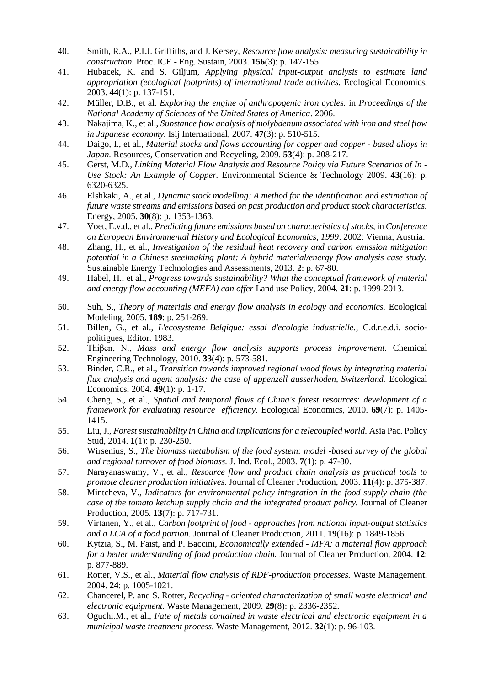- 40. Smith, R.A., P.I.J. Griffiths, and J. Kersey, *Resource flow analysis: measuring sustainability in construction.* Proc. ICE - Eng. Sustain, 2003. **156**(3): p. 147-155.
- 41. Hubacek, K. and S. Giljum, *Applying physical input-output analysis to estimate land appropriation (ecological footprints) of international trade activities.* Ecological Economics, 2003. **44**(1): p. 137-151.
- 42. Müller, D.B., et al. *Exploring the engine of anthropogenic iron cycles.* in *Proceedings of the National Academy of Sciences of the United States of America*. 2006.
- 43. Nakajima, K., et al., *Substance flow analysis of molybdenum associated with iron and steel flow in Japanese economy.* Isij International, 2007. **47**(3): p. 510-515.
- 44. Daigo, I., et al., *Material stocks and flows accounting for copper and copper - based alloys in Japan.* Resources, Conservation and Recycling, 2009. **53**(4): p. 208-217.
- 45. Gerst, M.D., *Linking Material Flow Analysis and Resource Policy via Future Scenarios of In - Use Stock: An Example of Copper.* Environmental Science & Technology 2009. **43**(16): p. 6320-6325.
- 46. Elshkaki, A., et al., *Dynamic stock modelling: A method for the identification and estimation of future waste streams and emissions based on past production and product stock characteristics.* Energy, 2005. **30**(8): p. 1353-1363.
- 47. Voet, E.v.d., et al., *Predicting future emissions based on characteristics of stocks*, in *Conference on European Environmental History and Ecological Economics, 1999*. 2002: Vienna, Austria.
- 48. Zhang, H., et al., *Investigation of the residual heat recovery and carbon emission mitigation potential in a Chinese steelmaking plant: A hybrid material/energy flow analysis case study.* Sustainable Energy Technologies and Assessments, 2013. **2**: p. 67-80.
- 49. Habel, H., et al., *Progress towards sustainability? What the conceptual framework of material and energy flow accounting (MEFA) can offer* Land use Policy, 2004. **21**: p. 1999-2013.
- 50. Suh, S., *Theory of materials and energy flow analysis in ecology and economics.* Ecological Modeling, 2005. **189**: p. 251-269.
- 51. Billen, G., et al., *L'ecosysteme Belgique: essai d'ecologie industrielle.*, C.d.r.e.d.i. sociopolitigues, Editor. 1983.
- 52. Thiβen, N., *Mass and energy flow analysis supports process improvement.* Chemical Engineering Technology, 2010. **33**(4): p. 573-581.
- 53. Binder, C.R., et al., *Transition towards improved regional wood flows by integrating material flux analysis and agent analysis: the case of appenzell ausserhoden, Switzerland.* Ecological Economics, 2004. **49**(1): p. 1-17.
- 54. Cheng, S., et al., *Spatial and temporal flows of China's forest resources: development of a framework for evaluating resource efficiency.* Ecological Economics, 2010. **69**(7): p. 1405- 1415.
- 55. Liu, J., *Forest sustainability in China and implications for a telecoupled world.* Asia Pac. Policy Stud, 2014. **1**(1): p. 230-250.
- 56. Wirsenius, S., *The biomass metabolism of the food system: model -based survey of the global and regional turnover of food biomass.* J. Ind. Ecol., 2003. **7**(1): p. 47-80.
- 57. Narayanaswamy, V., et al., *Resource flow and product chain analysis as practical tools to promote cleaner production initiatives.* Journal of Cleaner Production, 2003. **11**(4): p. 375-387.
- 58. Mintcheva, V., *Indicators for environmental policy integration in the food supply chain (the case of the tomato ketchup supply chain and the integrated product policy.* Journal of Cleaner Production, 2005. **13**(7): p. 717-731.
- 59. Virtanen, Y., et al., *Carbon footprint of food - approaches from national input-output statistics and a LCA of a food portion.* Journal of Cleaner Production, 2011. **19**(16): p. 1849-1856.
- 60. Kytzia, S., M. Faist, and P. Baccini, *Economically extended - MFA: a material flow approach for a better understanding of food production chain.* Journal of Cleaner Production, 2004. **12**: p. 877-889.
- 61. Rotter, V.S., et al., *Material flow analysis of RDF-production processes.* Waste Management, 2004. **24**: p. 1005-1021.
- 62. Chancerel, P. and S. Rotter, *Recycling - oriented characterization of small waste electrical and electronic equipment.* Waste Management, 2009. **29**(8): p. 2336-2352.
- 63. Oguchi.M., et al., *Fate of metals contained in waste electrical and electronic equipment in a municipal waste treatment process.* Waste Management, 2012. **32**(1): p. 96-103.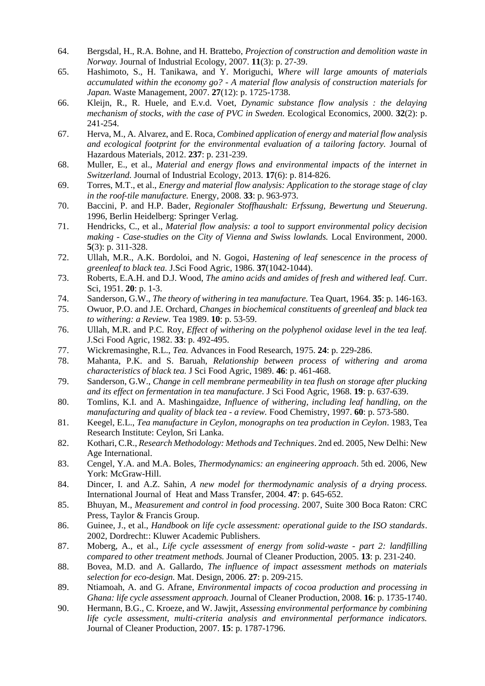- 64. Bergsdal, H., R.A. Bohne, and H. Brattebo, *Projection of construction and demolition waste in Norway.* Journal of Industrial Ecology, 2007. **11**(3): p. 27-39.
- 65. Hashimoto, S., H. Tanikawa, and Y. Moriguchi, *Where will large amounts of materials accumulated within the economy go? - A material flow analysis of construction materials for Japan.* Waste Management, 2007. **27**(12): p. 1725-1738.
- 66. Kleijn, R., R. Huele, and E.v.d. Voet, *Dynamic substance flow analysis : the delaying mechanism of stocks, with the case of PVC in Sweden.* Ecological Economics, 2000. **32**(2): p. 241-254.
- 67. Herva, M., A. Alvarez, and E. Roca, *Combined application of energy and material flow analysis and ecological footprint for the environmental evaluation of a tailoring factory.* Journal of Hazardous Materials, 2012. **237**: p. 231-239.
- 68. Muller, E., et al., *Material and energy flows and environmental impacts of the internet in Switzerland.* Journal of Industrial Ecology, 2013. **17**(6): p. 814-826.
- 69. Torres, M.T., et al., *Energy and material flow analysis: Application to the storage stage of clay in the roof-tile manufacture.* Energy, 2008. **33**: p. 963-973.
- 70. Baccini, P. and H.P. Bader, *Regionaler Stoffhaushalt: Erfssung, Bewertung und Steuerung*. 1996, Berlin Heidelberg: Springer Verlag.
- 71. Hendricks, C., et al., *Material flow analysis: a tool to support environmental policy decision making - Case-studies on the City of Vienna and Swiss lowlands.* Local Environment, 2000. **5**(3): p. 311-328.
- 72. Ullah, M.R., A.K. Bordoloi, and N. Gogoi, *Hastening of leaf senescence in the process of greenleaf to black tea.* J.Sci Food Agric, 1986. **37**(1042-1044).
- 73. Roberts, E.A.H. and D.J. Wood, *The amino acids and amides of fresh and withered leaf.* Curr. Sci, 1951. **20**: p. 1-3.
- 74. Sanderson, G.W., *The theory of withering in tea manufacture.* Tea Quart, 1964. **35**: p. 146-163.
- 75. Owuor, P.O. and J.E. Orchard, *Changes in biochemical constituents of greenleaf and black tea to withering: a Review.* Tea 1989. **10**: p. 53-59.
- 76. Ullah, M.R. and P.C. Roy, *Effect of withering on the polyphenol oxidase level in the tea leaf.* J.Sci Food Agric, 1982. **33**: p. 492-495.
- 77. Wickremasinghe, R.L., *Tea.* Advances in Food Research, 1975. **24**: p. 229-286.
- 78. Mahanta, P.K. and S. Baruah, *Relationship between process of withering and aroma characteristics of black tea.* J Sci Food Agric, 1989. **46**: p. 461-468.
- 79. Sanderson, G.W., *Change in cell membrane permeability in tea flush on storage after plucking and its effect on fermentation in tea manufacture.* J Sci Food Agric, 1968. **19**: p. 637-639.
- 80. Tomlins, K.I. and A. Mashingaidze, *Influence of withering, including leaf handling, on the manufacturing and quality of black tea - a review.* Food Chemistry, 1997. **60**: p. 573-580.
- 81. Keegel, E.L., *Tea manufacture in Ceylon, monographs on tea production in Ceylon*. 1983, Tea Research Institute: Ceylon, Sri Lanka.
- 82. Kothari, C.R., *Research Methodology: Methods and Techniques*. 2nd ed. 2005, New Delhi: New Age International.
- 83. Cengel, Y.A. and M.A. Boles, *Thermodynamics: an engineering approach*. 5th ed. 2006, New York: McGraw-Hill.
- 84. Dincer, I. and A.Z. Sahin, *A new model for thermodynamic analysis of a drying process.* International Journal of Heat and Mass Transfer, 2004. **47**: p. 645-652.
- 85. Bhuyan, M., *Measurement and control in food processing*. 2007, Suite 300 Boca Raton: CRC Press, Taylor & Francis Group.
- 86. Guinee, J., et al., *Handbook on life cycle assessment: operational guide to the ISO standards*. 2002, Dordrecht:: Kluwer Academic Publishers.
- 87. Moberg, A., et al., *Life cycle assessment of energy from solid-waste - part 2: landfilling compared to other treatment methods.* Journal of Cleaner Production, 2005. **13**: p. 231-240.
- 88. Bovea, M.D. and A. Gallardo, *The influence of impact assessment methods on materials selection for eco-design.* Mat. Design, 2006. **27**: p. 209-215.
- 89. Ntiamoah, A. and G. Afrane, *Environmental impacts of cocoa production and processing in Ghana: life cycle assessment approach.* Journal of Cleaner Production, 2008. **16**: p. 1735-1740.
- 90. Hermann, B.G., C. Kroeze, and W. Jawjit, *Assessing environmental performance by combining life cycle assessment, multi-criteria analysis and environmental performance indicators.* Journal of Cleaner Production, 2007. **15**: p. 1787-1796.